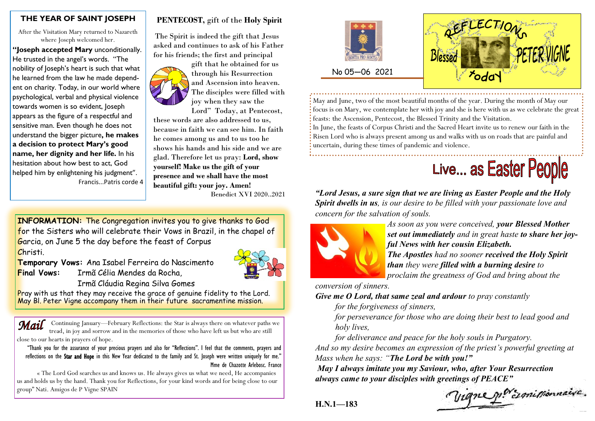#### **THE YEAR OF SAINT JOSEPH**

After the Visitation Mary returned to Nazareth where Joseph welcomed her.

**"Joseph accepted Mary** unconditionally. He trusted in the angel's words. "The nobility of Joseph's heart is such that what he learned from the law he made dependent on charity. Today, in our world where psychological, verbal and physical violence towards women is so evident, Joseph appears as the figure of a respectful and sensitive man. Even though he does not understand the bigger picture**, he makes a decision to protect Mary's good name, her dignity and her life.** In his hesitation about how best to act, God helped him by enlightening his judgment". Francis...Patris corde 4

### **PENTECOST,** gift of the **Holy Spirit**

The Spirit is indeed the gift that Jesus asked and continues to ask of his Father for his friends; the first and principal



gift that he obtained for us through his Resurrection and Ascension into heaven. The disciples were filled with joy when they saw the

Lord" Today, at Pentecost, these words are also addressed to us, because in faith we can see him. In faith he comes among us and to us too he shows his hands and his side and we are glad. Therefore let us pray: **Lord, show yourself! Make us the gift of your presence and we shall have the most beautiful gift: your joy. Amen!** Benedict XVI 2020..2021

**INFORMATION:** The Congregation invites you to give thanks to God for the Sisters who will celebrate their Vows in Brazil, in the chapel of Garcia, on June 5 the day before the feast of Corpus Christi.

**Temporary Vows:** Ana Isabel Ferreira do Nascimento **Final Vows:** Irmã Célia Mendes da Rocha,



Irmã Cláudia Regina Silva Gomes

Pray with us that they may receive the grace of genuine fidelity to the Lord. May Bl. Peter Vigne accompany them in their future sacramentine mission.

Mail Continuing January—February Reflections: the Star is always there on whatever paths we tread, in joy and sorrow and in the memories of those who have left us but who are still close to our hearts in prayers of hope.

"Thank you for the assurance of your precious prayers and also for "Reflections". I feel that the comments, prayers and reflections on the Star and Hope in this New Year dedicated to the family and St. Joseph were written uniquely for me." Mme de Chazotte Arlebosc. France

« The Lord God searches us and knows us. He always gives us what we need, He accompanies us and holds us by the hand. Thank you for Reflections, for your kind words and for being close to our group" Nati. Amigos de P Vigne SPAIN





May and June, two of the most beautiful months of the year. During the month of May our focus is on Mary, we contemplate her with joy and she is here with us as we celebrate the great feasts: the Ascension, Pentecost, the Blessed Trinity and the Visitation.

In June, the feasts of Corpus Christi and the Sacred Heart invite us to renew our faith in the Risen Lord who is always present among us and walks with us on roads that are painful and uncertain, during these times of pandemic and violence.

# Live... as Easter People

*"Lord Jesus, a sure sign that we are living as Easter People and the Holy Spirit dwells in us, is our desire to be filled with your passionate love and concern for the salvation of souls.* 



*As soon as you were conceived, your Blessed Mother set out immediately and in great haste to share her joyful News with her cousin Elizabeth. The Apostles had no sooner received the Holy Spirit than they were filled with a burning desire to* 

*proclaim the greatness of God and bring about the* 

*conversion of sinners.*

*Give me O Lord, that same zeal and ardour to pray constantly* 

*for the forgiveness of sinners,* 

*for perseverance for those who are doing their best to lead good and holy lives,* 

*for deliverance and peace for the holy souls in Purgatory.* 

*And so my desire becomes an expression of the priest's powerful greeting at Mass when he says: "The Lord be with you!"*

*May I always imitate you my Saviour, who, after Your Resurrection always came to your disciples with greetings of PEACE"*

Vigne p. Examinonnaire.

**H.N.1—183**